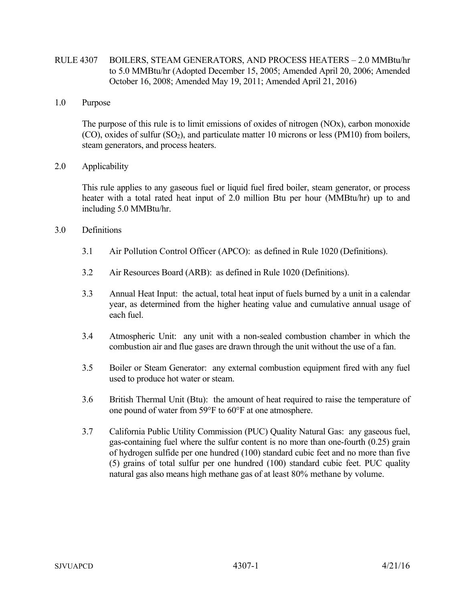## RULE 4307 BOILERS, STEAM GENERATORS, AND PROCESS HEATERS – 2.0 MMBtu/hr to 5.0 MMBtu/hr (Adopted December 15, 2005; Amended April 20, 2006; Amended October 16, 2008; Amended May 19, 2011; Amended April 21, 2016)

1.0 Purpose

The purpose of this rule is to limit emissions of oxides of nitrogen (NOx), carbon monoxide  $(CO)$ , oxides of sulfur  $(SO<sub>2</sub>)$ , and particulate matter 10 microns or less (PM10) from boilers, steam generators, and process heaters.

2.0 Applicability

This rule applies to any gaseous fuel or liquid fuel fired boiler, steam generator, or process heater with a total rated heat input of 2.0 million Btu per hour (MMBtu/hr) up to and including 5.0 MMBtu/hr.

- 3.0 Definitions
	- 3.1 Air Pollution Control Officer (APCO): as defined in Rule 1020 (Definitions).
	- 3.2 Air Resources Board (ARB): as defined in Rule 1020 (Definitions).
	- 3.3 Annual Heat Input: the actual, total heat input of fuels burned by a unit in a calendar year, as determined from the higher heating value and cumulative annual usage of each fuel.
	- 3.4 Atmospheric Unit: any unit with a non-sealed combustion chamber in which the combustion air and flue gases are drawn through the unit without the use of a fan.
	- 3.5 Boiler or Steam Generator: any external combustion equipment fired with any fuel used to produce hot water or steam.
	- 3.6 British Thermal Unit (Btu): the amount of heat required to raise the temperature of one pound of water from 59°F to 60°F at one atmosphere.
	- 3.7 California Public Utility Commission (PUC) Quality Natural Gas: any gaseous fuel, gas-containing fuel where the sulfur content is no more than one-fourth (0.25) grain of hydrogen sulfide per one hundred (100) standard cubic feet and no more than five (5) grains of total sulfur per one hundred (100) standard cubic feet. PUC quality natural gas also means high methane gas of at least 80% methane by volume.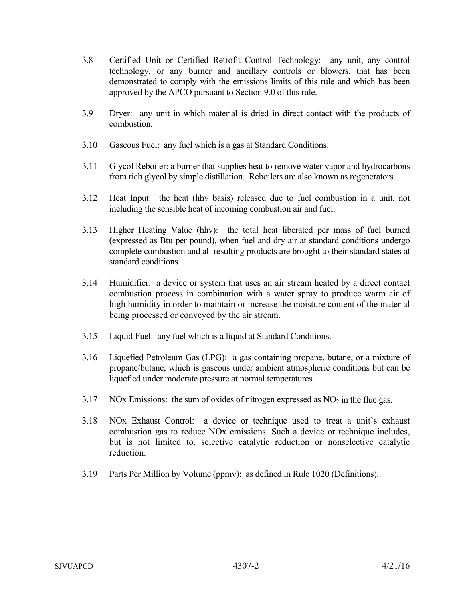- 3.8 Certified Unit or Certified Retrofit Control Technology: any unit, any control technology, or any burner and ancillary controls or blowers, that has been demonstrated to comply with the emissions limits of this rule and which has been approved by the APCO pursuant to Section 9.0 of this rule.
- 3.9 Dryer: any unit in which material is dried in direct contact with the products of combustion.
- 3.10 Gaseous Fuel: any fuel which is a gas at Standard Conditions.
- 3.11 Glycol Reboiler: a burner that supplies heat to remove water vapor and hydrocarbons from rich glycol by simple distillation. Reboilers are also known as regenerators.
- 3.12 Heat Input: the heat (hhv basis) released due to fuel combustion in a unit, not including the sensible heat of incoming combustion air and fuel.
- 3.13 Higher Heating Value (hhv): the total heat liberated per mass of fuel burned (expressed as Btu per pound), when fuel and dry air at standard conditions undergo complete combustion and all resulting products are brought to their standard states at standard conditions.
- 3.14 Humidifier: a device or system that uses an air stream heated by a direct contact combustion process in combination with a water spray to produce warm air of high humidity in order to maintain or increase the moisture content of the material being processed or conveyed by the air stream.
- 3.15 Liquid Fuel: any fuel which is a liquid at Standard Conditions.
- 3.16 Liquefied Petroleum Gas (LPG): a gas containing propane, butane, or a mixture of propane/butane, which is gaseous under ambient atmospheric conditions but can be liquefied under moderate pressure at normal temperatures.
- 3.17 NOx Emissions: the sum of oxides of nitrogen expressed as  $NO<sub>2</sub>$  in the flue gas.
- 3.18 NOx Exhaust Control: a device or technique used to treat a unit's exhaust combustion gas to reduce NOx emissions. Such a device or technique includes, but is not limited to, selective catalytic reduction or nonselective catalytic reduction.
- 3.19 Parts Per Million by Volume (ppmv): as defined in Rule 1020 (Definitions).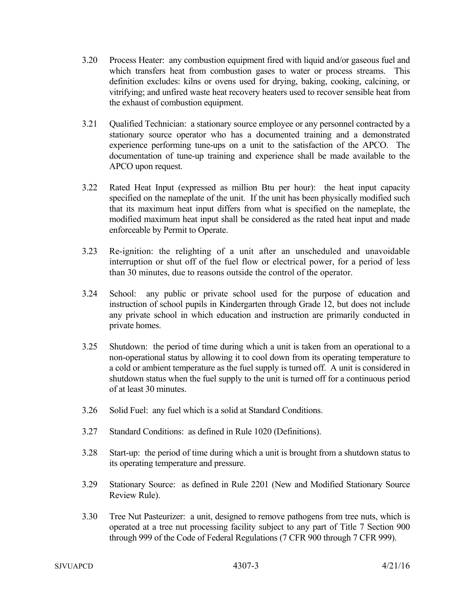- 3.20 Process Heater: any combustion equipment fired with liquid and/or gaseous fuel and which transfers heat from combustion gases to water or process streams. This definition excludes: kilns or ovens used for drying, baking, cooking, calcining, or vitrifying; and unfired waste heat recovery heaters used to recover sensible heat from the exhaust of combustion equipment.
- 3.21 Qualified Technician: a stationary source employee or any personnel contracted by a stationary source operator who has a documented training and a demonstrated experience performing tune-ups on a unit to the satisfaction of the APCO. The documentation of tune-up training and experience shall be made available to the APCO upon request.
- 3.22 Rated Heat Input (expressed as million Btu per hour): the heat input capacity specified on the nameplate of the unit. If the unit has been physically modified such that its maximum heat input differs from what is specified on the nameplate, the modified maximum heat input shall be considered as the rated heat input and made enforceable by Permit to Operate.
- 3.23 Re-ignition: the relighting of a unit after an unscheduled and unavoidable interruption or shut off of the fuel flow or electrical power, for a period of less than 30 minutes, due to reasons outside the control of the operator.
- 3.24 School: any public or private school used for the purpose of education and instruction of school pupils in Kindergarten through Grade 12, but does not include any private school in which education and instruction are primarily conducted in private homes.
- 3.25 Shutdown: the period of time during which a unit is taken from an operational to a non-operational status by allowing it to cool down from its operating temperature to a cold or ambient temperature as the fuel supply is turned off. A unit is considered in shutdown status when the fuel supply to the unit is turned off for a continuous period of at least 30 minutes.
- 3.26 Solid Fuel: any fuel which is a solid at Standard Conditions.
- 3.27 Standard Conditions: as defined in Rule 1020 (Definitions).
- 3.28 Start-up: the period of time during which a unit is brought from a shutdown status to its operating temperature and pressure.
- 3.29 Stationary Source: as defined in Rule 2201 (New and Modified Stationary Source Review Rule).
- 3.30 Tree Nut Pasteurizer: a unit, designed to remove pathogens from tree nuts, which is operated at a tree nut processing facility subject to any part of Title 7 Section 900 through 999 of the Code of Federal Regulations (7 CFR 900 through 7 CFR 999).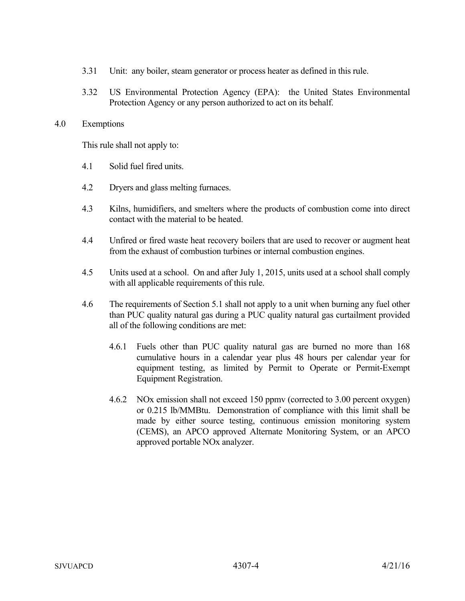- 3.31 Unit: any boiler, steam generator or process heater as defined in this rule.
- 3.32 US Environmental Protection Agency (EPA): the United States Environmental Protection Agency or any person authorized to act on its behalf.

#### 4.0 Exemptions

This rule shall not apply to:

- 4.1 Solid fuel fired units.
- 4.2 Dryers and glass melting furnaces.
- 4.3 Kilns, humidifiers, and smelters where the products of combustion come into direct contact with the material to be heated.
- 4.4 Unfired or fired waste heat recovery boilers that are used to recover or augment heat from the exhaust of combustion turbines or internal combustion engines.
- 4.5 Units used at a school. On and after July 1, 2015, units used at a school shall comply with all applicable requirements of this rule.
- 4.6 The requirements of Section 5.1 shall not apply to a unit when burning any fuel other than PUC quality natural gas during a PUC quality natural gas curtailment provided all of the following conditions are met:
	- 4.6.1 Fuels other than PUC quality natural gas are burned no more than 168 cumulative hours in a calendar year plus 48 hours per calendar year for equipment testing, as limited by Permit to Operate or Permit-Exempt Equipment Registration.
	- 4.6.2 NOx emission shall not exceed 150 ppmv (corrected to 3.00 percent oxygen) or 0.215 lb/MMBtu. Demonstration of compliance with this limit shall be made by either source testing, continuous emission monitoring system (CEMS), an APCO approved Alternate Monitoring System, or an APCO approved portable NOx analyzer.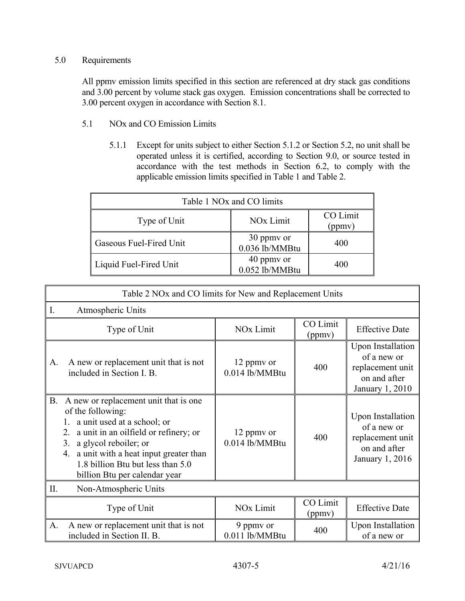# 5.0 Requirements

All ppmv emission limits specified in this section are referenced at dry stack gas conditions and 3.00 percent by volume stack gas oxygen. Emission concentrations shall be corrected to 3.00 percent oxygen in accordance with Section 8.1.

- 5.1 NOx and CO Emission Limits
	- 5.1.1 Except for units subject to either Section 5.1.2 or Section 5.2, no unit shall be operated unless it is certified, according to Section 9.0, or source tested in accordance with the test methods in Section 6.2, to comply with the applicable emission limits specified in Table 1 and Table 2.

| Table 1 NO <sub>x</sub> and CO limits |                              |                    |  |  |  |
|---------------------------------------|------------------------------|--------------------|--|--|--|
| Type of Unit                          | NO <sub>x</sub> Limit        | CO Limit<br>(ppmy) |  |  |  |
| Gaseous Fuel-Fired Unit               | 30 ppmy or<br>0.036 lb/MMBtu | 400                |  |  |  |
| Liquid Fuel-Fired Unit                | 40 ppmy or<br>0.052 lb/MMBtu | 400                |  |  |  |

|                             | Table 2 NOx and CO limits for New and Replacement Units                                                                                                                                                                                                                                      |                                |                    |                                                                                                |  |  |
|-----------------------------|----------------------------------------------------------------------------------------------------------------------------------------------------------------------------------------------------------------------------------------------------------------------------------------------|--------------------------------|--------------------|------------------------------------------------------------------------------------------------|--|--|
| $I_{\cdot}$                 | Atmospheric Units                                                                                                                                                                                                                                                                            |                                |                    |                                                                                                |  |  |
|                             | Type of Unit                                                                                                                                                                                                                                                                                 | NO <sub>x</sub> Limit          | CO Limit<br>(ppmv) | <b>Effective Date</b>                                                                          |  |  |
| A.                          | A new or replacement unit that is not<br>included in Section I. B.                                                                                                                                                                                                                           | 12 ppmy or<br>$0.014$ lb/MMBtu | 400                | <b>Upon Installation</b><br>of a new or<br>replacement unit<br>on and after<br>January 1, 2010 |  |  |
| В.                          | A new or replacement unit that is one<br>of the following:<br>a unit used at a school; or<br>a unit in an oilfield or refinery; or<br>2.<br>3.<br>a glycol reboiler; or<br>a unit with a heat input greater than<br>4.<br>1.8 billion Btu but less than 5.0<br>billion Btu per calendar year | 12 ppmy or<br>$0.014$ lb/MMBtu | 400                | <b>Upon Installation</b><br>of a new or<br>replacement unit<br>on and after<br>January 1, 2016 |  |  |
| П.<br>Non-Atmospheric Units |                                                                                                                                                                                                                                                                                              |                                |                    |                                                                                                |  |  |
|                             | Type of Unit                                                                                                                                                                                                                                                                                 | NO <sub>x</sub> Limit          | CO Limit<br>(ppmv) | <b>Effective Date</b>                                                                          |  |  |
| A.                          | A new or replacement unit that is not<br>included in Section II. B.                                                                                                                                                                                                                          | 9 ppmy or<br>0.011 lb/MMBtu    | 400                | <b>Upon Installation</b><br>of a new or                                                        |  |  |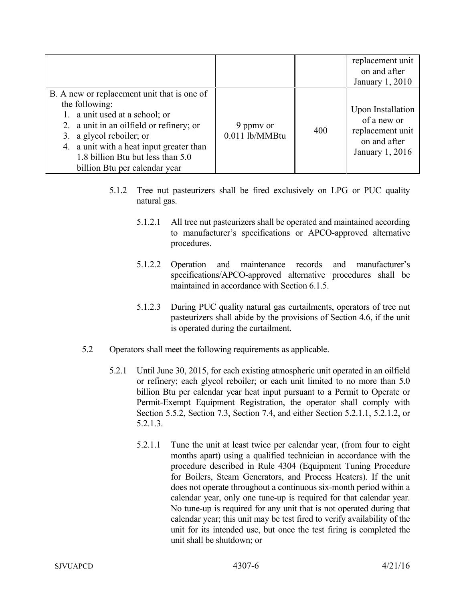|                                                                                                                                                                                                                                                                                           |                               |     | replacement unit<br>on and after<br>January 1, 2010                                     |
|-------------------------------------------------------------------------------------------------------------------------------------------------------------------------------------------------------------------------------------------------------------------------------------------|-------------------------------|-----|-----------------------------------------------------------------------------------------|
| B. A new or replacement unit that is one of<br>the following:<br>1. a unit used at a school; or<br>2. a unit in an oilfield or refinery; or<br>3. a glycol reboiler; or<br>4. a unit with a heat input greater than<br>1.8 billion Btu but less than 5.0<br>billion Btu per calendar year | 9 ppmy or<br>$0.011$ lb/MMBtu | 400 | Upon Installation<br>of a new or<br>replacement unit<br>on and after<br>January 1, 2016 |

- 5.1.2 Tree nut pasteurizers shall be fired exclusively on LPG or PUC quality natural gas.
	- 5.1.2.1 All tree nut pasteurizers shall be operated and maintained according to manufacturer's specifications or APCO-approved alternative procedures.
	- 5.1.2.2 Operation and maintenance records and manufacturer's specifications/APCO-approved alternative procedures shall be maintained in accordance with Section 6.1.5.
	- 5.1.2.3 During PUC quality natural gas curtailments, operators of tree nut pasteurizers shall abide by the provisions of Section 4.6, if the unit is operated during the curtailment.
- 5.2 Operators shall meet the following requirements as applicable.
	- 5.2.1 Until June 30, 2015, for each existing atmospheric unit operated in an oilfield or refinery; each glycol reboiler; or each unit limited to no more than 5.0 billion Btu per calendar year heat input pursuant to a Permit to Operate or Permit-Exempt Equipment Registration, the operator shall comply with Section 5.5.2, Section 7.3, Section 7.4, and either Section 5.2.1.1, 5.2.1.2, or 5.2.1.3.
		- 5.2.1.1 Tune the unit at least twice per calendar year, (from four to eight months apart) using a qualified technician in accordance with the procedure described in Rule 4304 (Equipment Tuning Procedure for Boilers, Steam Generators, and Process Heaters). If the unit does not operate throughout a continuous six-month period within a calendar year, only one tune-up is required for that calendar year. No tune-up is required for any unit that is not operated during that calendar year; this unit may be test fired to verify availability of the unit for its intended use, but once the test firing is completed the unit shall be shutdown; or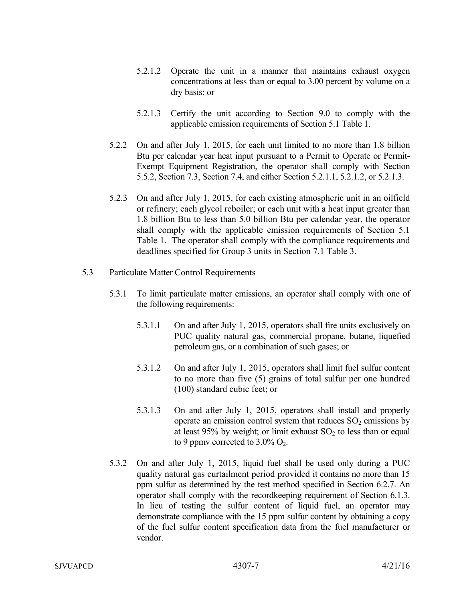- 5.2.1.2 Operate the unit in a manner that maintains exhaust oxygen concentrations at less than or equal to 3.00 percent by volume on a dry basis; or
- 5.2.1.3 Certify the unit according to Section 9.0 to comply with the applicable emission requirements of Section 5.1 Table 1.
- 5.2.2 On and after July 1, 2015, for each unit limited to no more than 1.8 billion Btu per calendar year heat input pursuant to a Permit to Operate or Permit-Exempt Equipment Registration, the operator shall comply with Section 5.5.2, Section 7.3, Section 7.4, and either Section 5.2.1.1, 5.2.1.2, or 5.2.1.3.
- 5.2.3 On and after July 1, 2015, for each existing atmospheric unit in an oilfield or refinery; each glycol reboiler; or each unit with a heat input greater than 1.8 billion Btu to less than 5.0 billion Btu per calendar year, the operator shall comply with the applicable emission requirements of Section 5.1 Table 1. The operator shall comply with the compliance requirements and deadlines specified for Group 3 units in Section 7.1 Table 3.
- 5.3 Particulate Matter Control Requirements
	- 5.3.1 To limit particulate matter emissions, an operator shall comply with one of the following requirements:
		- 5.3.1.1 On and after July 1, 2015, operators shall fire units exclusively on PUC quality natural gas, commercial propane, butane, liquefied petroleum gas, or a combination of such gases; or
		- 5.3.1.2 On and after July 1, 2015, operators shall limit fuel sulfur content to no more than five (5) grains of total sulfur per one hundred (100) standard cubic feet; or
		- 5.3.1.3 On and after July 1, 2015, operators shall install and properly operate an emission control system that reduces  $SO_2$  emissions by at least 95% by weight; or limit exhaust  $SO<sub>2</sub>$  to less than or equal to 9 ppmy corrected to  $3.0\%$  O<sub>2</sub>.
	- 5.3.2 On and after July 1, 2015, liquid fuel shall be used only during a PUC quality natural gas curtailment period provided it contains no more than 15 ppm sulfur as determined by the test method specified in Section 6.2.7. An operator shall comply with the recordkeeping requirement of Section 6.1.3. In lieu of testing the sulfur content of liquid fuel, an operator may demonstrate compliance with the 15 ppm sulfur content by obtaining a copy of the fuel sulfur content specification data from the fuel manufacturer or vendor.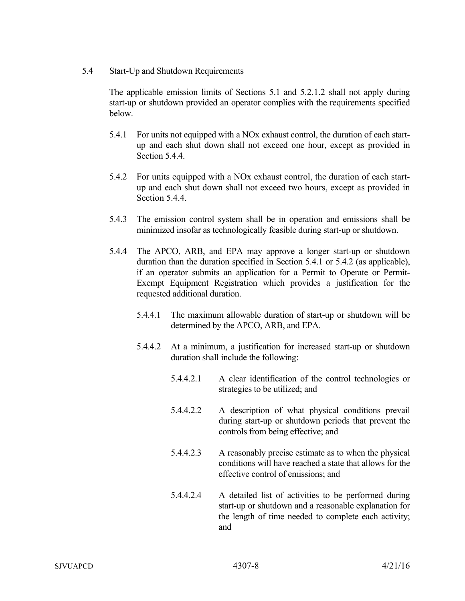5.4 Start-Up and Shutdown Requirements

The applicable emission limits of Sections 5.1 and 5.2.1.2 shall not apply during start-up or shutdown provided an operator complies with the requirements specified below.

- 5.4.1 For units not equipped with a NOx exhaust control, the duration of each startup and each shut down shall not exceed one hour, except as provided in Section 5.4.4.
- 5.4.2 For units equipped with a NOx exhaust control, the duration of each startup and each shut down shall not exceed two hours, except as provided in Section 5.4.4.
- 5.4.3 The emission control system shall be in operation and emissions shall be minimized insofar as technologically feasible during start-up or shutdown.
- 5.4.4 The APCO, ARB, and EPA may approve a longer start-up or shutdown duration than the duration specified in Section 5.4.1 or 5.4.2 (as applicable), if an operator submits an application for a Permit to Operate or Permit-Exempt Equipment Registration which provides a justification for the requested additional duration.
	- 5.4.4.1 The maximum allowable duration of start-up or shutdown will be determined by the APCO, ARB, and EPA.
	- 5.4.4.2 At a minimum, a justification for increased start-up or shutdown duration shall include the following:
		- 5.4.4.2.1 A clear identification of the control technologies or strategies to be utilized; and
		- 5.4.4.2.2 A description of what physical conditions prevail during start-up or shutdown periods that prevent the controls from being effective; and
		- 5.4.4.2.3 A reasonably precise estimate as to when the physical conditions will have reached a state that allows for the effective control of emissions; and
		- 5.4.4.2.4 A detailed list of activities to be performed during start-up or shutdown and a reasonable explanation for the length of time needed to complete each activity; and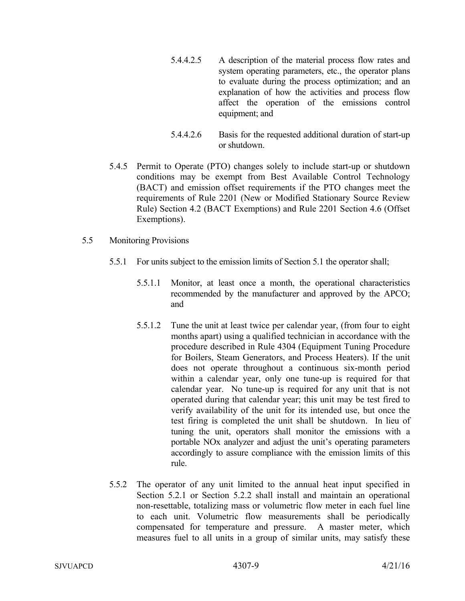- 5.4.4.2.5 A description of the material process flow rates and system operating parameters, etc., the operator plans to evaluate during the process optimization; and an explanation of how the activities and process flow affect the operation of the emissions control equipment; and
- 5.4.4.2.6 Basis for the requested additional duration of start-up or shutdown.
- 5.4.5 Permit to Operate (PTO) changes solely to include start-up or shutdown conditions may be exempt from Best Available Control Technology (BACT) and emission offset requirements if the PTO changes meet the requirements of Rule 2201 (New or Modified Stationary Source Review Rule) Section 4.2 (BACT Exemptions) and Rule 2201 Section 4.6 (Offset Exemptions).
- 5.5 Monitoring Provisions
	- 5.5.1 For units subject to the emission limits of Section 5.1 the operator shall;
		- 5.5.1.1 Monitor, at least once a month, the operational characteristics recommended by the manufacturer and approved by the APCO; and
		- 5.5.1.2 Tune the unit at least twice per calendar year, (from four to eight months apart) using a qualified technician in accordance with the procedure described in Rule 4304 (Equipment Tuning Procedure for Boilers, Steam Generators, and Process Heaters). If the unit does not operate throughout a continuous six-month period within a calendar year, only one tune-up is required for that calendar year. No tune-up is required for any unit that is not operated during that calendar year; this unit may be test fired to verify availability of the unit for its intended use, but once the test firing is completed the unit shall be shutdown. In lieu of tuning the unit, operators shall monitor the emissions with a portable NOx analyzer and adjust the unit's operating parameters accordingly to assure compliance with the emission limits of this rule.
	- 5.5.2 The operator of any unit limited to the annual heat input specified in Section 5.2.1 or Section 5.2.2 shall install and maintain an operational non-resettable, totalizing mass or volumetric flow meter in each fuel line to each unit. Volumetric flow measurements shall be periodically compensated for temperature and pressure. A master meter, which measures fuel to all units in a group of similar units, may satisfy these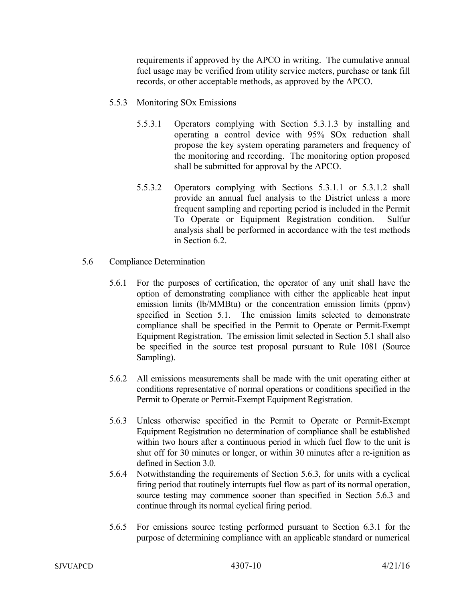requirements if approved by the APCO in writing. The cumulative annual fuel usage may be verified from utility service meters, purchase or tank fill records, or other acceptable methods, as approved by the APCO.

- 5.5.3 Monitoring SOx Emissions
	- 5.5.3.1 Operators complying with Section 5.3.1.3 by installing and operating a control device with 95% SOx reduction shall propose the key system operating parameters and frequency of the monitoring and recording. The monitoring option proposed shall be submitted for approval by the APCO.
	- 5.5.3.2 Operators complying with Sections 5.3.1.1 or 5.3.1.2 shall provide an annual fuel analysis to the District unless a more frequent sampling and reporting period is included in the Permit To Operate or Equipment Registration condition. Sulfur analysis shall be performed in accordance with the test methods in Section 6.2.
- 5.6 Compliance Determination
	- 5.6.1 For the purposes of certification, the operator of any unit shall have the option of demonstrating compliance with either the applicable heat input emission limits (lb/MMBtu) or the concentration emission limits (ppmv) specified in Section 5.1. The emission limits selected to demonstrate compliance shall be specified in the Permit to Operate or Permit-Exempt Equipment Registration. The emission limit selected in Section 5.1 shall also be specified in the source test proposal pursuant to Rule 1081 (Source Sampling).
	- 5.6.2 All emissions measurements shall be made with the unit operating either at conditions representative of normal operations or conditions specified in the Permit to Operate or Permit-Exempt Equipment Registration.
	- 5.6.3 Unless otherwise specified in the Permit to Operate or Permit-Exempt Equipment Registration no determination of compliance shall be established within two hours after a continuous period in which fuel flow to the unit is shut off for 30 minutes or longer, or within 30 minutes after a re-ignition as defined in Section 3.0.
	- 5.6.4 Notwithstanding the requirements of Section 5.6.3, for units with a cyclical firing period that routinely interrupts fuel flow as part of its normal operation, source testing may commence sooner than specified in Section 5.6.3 and continue through its normal cyclical firing period.
	- 5.6.5 For emissions source testing performed pursuant to Section 6.3.1 for the purpose of determining compliance with an applicable standard or numerical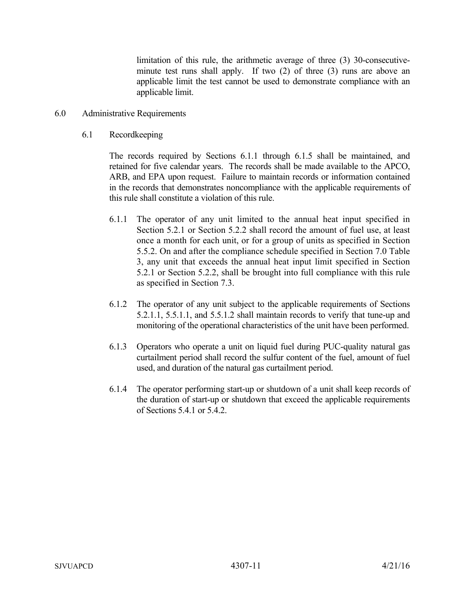limitation of this rule, the arithmetic average of three (3) 30-consecutiveminute test runs shall apply. If two (2) of three (3) runs are above an applicable limit the test cannot be used to demonstrate compliance with an applicable limit.

- 6.0 Administrative Requirements
	- 6.1 Recordkeeping

The records required by Sections 6.1.1 through 6.1.5 shall be maintained, and retained for five calendar years. The records shall be made available to the APCO, ARB, and EPA upon request. Failure to maintain records or information contained in the records that demonstrates noncompliance with the applicable requirements of this rule shall constitute a violation of this rule.

- 6.1.1 The operator of any unit limited to the annual heat input specified in Section 5.2.1 or Section 5.2.2 shall record the amount of fuel use, at least once a month for each unit, or for a group of units as specified in Section 5.5.2. On and after the compliance schedule specified in Section 7.0 Table 3, any unit that exceeds the annual heat input limit specified in Section 5.2.1 or Section 5.2.2, shall be brought into full compliance with this rule as specified in Section 7.3.
- 6.1.2 The operator of any unit subject to the applicable requirements of Sections 5.2.1.1, 5.5.1.1, and 5.5.1.2 shall maintain records to verify that tune-up and monitoring of the operational characteristics of the unit have been performed.
- 6.1.3 Operators who operate a unit on liquid fuel during PUC-quality natural gas curtailment period shall record the sulfur content of the fuel, amount of fuel used, and duration of the natural gas curtailment period.
- 6.1.4 The operator performing start-up or shutdown of a unit shall keep records of the duration of start-up or shutdown that exceed the applicable requirements of Sections 5.4.1 or 5.4.2.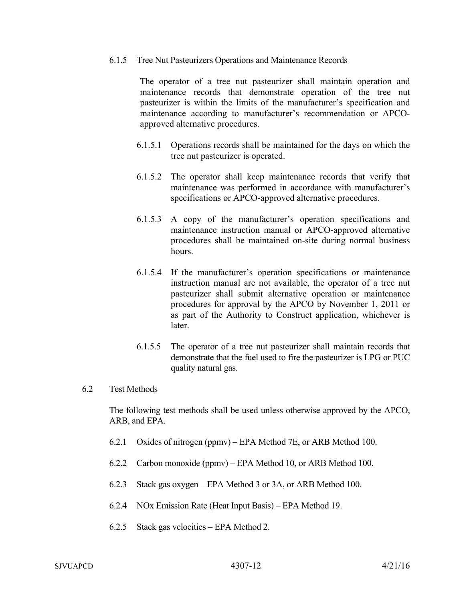### 6.1.5 Tree Nut Pasteurizers Operations and Maintenance Records

The operator of a tree nut pasteurizer shall maintain operation and maintenance records that demonstrate operation of the tree nut pasteurizer is within the limits of the manufacturer's specification and maintenance according to manufacturer's recommendation or APCOapproved alternative procedures.

- 6.1.5.1 Operations records shall be maintained for the days on which the tree nut pasteurizer is operated.
- 6.1.5.2 The operator shall keep maintenance records that verify that maintenance was performed in accordance with manufacturer's specifications or APCO-approved alternative procedures.
- 6.1.5.3 A copy of the manufacturer's operation specifications and maintenance instruction manual or APCO-approved alternative procedures shall be maintained on-site during normal business hours.
- 6.1.5.4 If the manufacturer's operation specifications or maintenance instruction manual are not available, the operator of a tree nut pasteurizer shall submit alternative operation or maintenance procedures for approval by the APCO by November 1, 2011 or as part of the Authority to Construct application, whichever is later.
- 6.1.5.5 The operator of a tree nut pasteurizer shall maintain records that demonstrate that the fuel used to fire the pasteurizer is LPG or PUC quality natural gas.

### 6.2 Test Methods

The following test methods shall be used unless otherwise approved by the APCO, ARB, and EPA.

- 6.2.1 Oxides of nitrogen (ppmv) EPA Method 7E, or ARB Method 100.
- 6.2.2 Carbon monoxide (ppmv) EPA Method 10, or ARB Method 100.
- 6.2.3 Stack gas oxygen EPA Method 3 or 3A, or ARB Method 100.
- 6.2.4 NOx Emission Rate (Heat Input Basis) EPA Method 19.
- 6.2.5 Stack gas velocities EPA Method 2.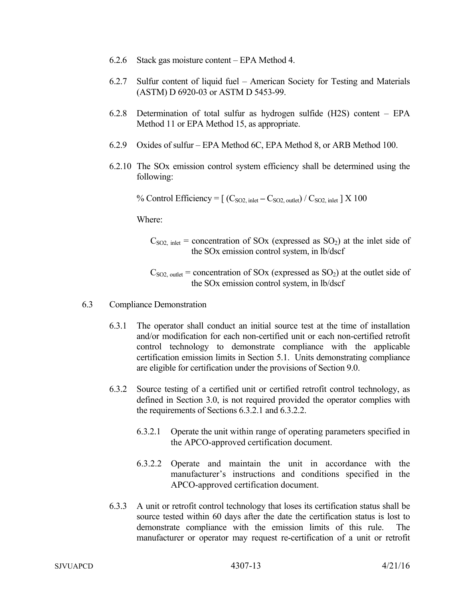- 6.2.6 Stack gas moisture content EPA Method 4.
- 6.2.7 Sulfur content of liquid fuel American Society for Testing and Materials (ASTM) D 6920-03 or ASTM D 5453-99.
- 6.2.8 Determination of total sulfur as hydrogen sulfide (H2S) content EPA Method 11 or EPA Method 15, as appropriate.
- 6.2.9 Oxides of sulfur EPA Method 6C, EPA Method 8, or ARB Method 100.
- 6.2.10 The SOx emission control system efficiency shall be determined using the following:

% Control Efficiency =  $[(C_{SO2, \text{inlet}} - C_{SO2, \text{outlet}}) / C_{SO2, \text{inlet}}] \times 100$ 

Where:

 $C_{SO2, \text{inlet}}$  = concentration of SOx (expressed as SO<sub>2</sub>) at the inlet side of the SOx emission control system, in lb/dscf

 $C_{\text{SO2, outlet}}$  = concentration of SOx (expressed as SO<sub>2</sub>) at the outlet side of the SOx emission control system, in lb/dscf

- 6.3 Compliance Demonstration
	- 6.3.1 The operator shall conduct an initial source test at the time of installation and/or modification for each non-certified unit or each non-certified retrofit control technology to demonstrate compliance with the applicable certification emission limits in Section 5.1. Units demonstrating compliance are eligible for certification under the provisions of Section 9.0.
	- 6.3.2 Source testing of a certified unit or certified retrofit control technology, as defined in Section 3.0, is not required provided the operator complies with the requirements of Sections 6.3.2.1 and 6.3.2.2.
		- 6.3.2.1 Operate the unit within range of operating parameters specified in the APCO-approved certification document.
		- 6.3.2.2 Operate and maintain the unit in accordance with the manufacturer's instructions and conditions specified in the APCO-approved certification document.
	- 6.3.3 A unit or retrofit control technology that loses its certification status shall be source tested within 60 days after the date the certification status is lost to demonstrate compliance with the emission limits of this rule. manufacturer or operator may request re-certification of a unit or retrofit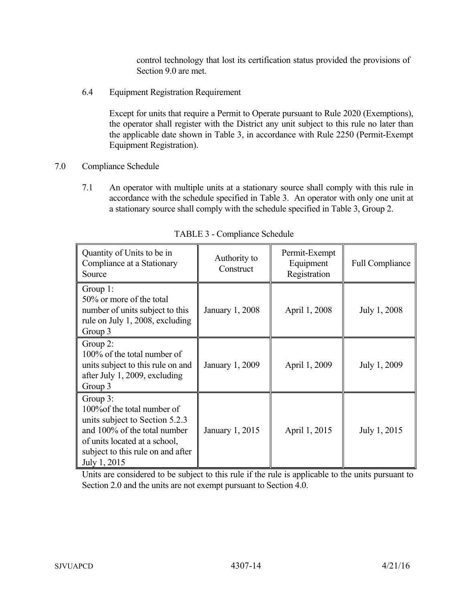control technology that lost its certification status provided the provisions of Section 9.0 are met.

6.4 Equipment Registration Requirement

Except for units that require a Permit to Operate pursuant to Rule 2020 (Exemptions), the operator shall register with the District any unit subject to this rule no later than the applicable date shown in Table 3, in accordance with Rule 2250 (Permit-Exempt Equipment Registration).

- 7.0 Compliance Schedule
	- 7.1 An operator with multiple units at a stationary source shall comply with this rule in accordance with the schedule specified in Table 3. An operator with only one unit at a stationary source shall comply with the schedule specified in Table 3, Group 2.

| Quantity of Units to be in<br>Compliance at a Stationary<br>Source                                                                                                                                 | Authority to<br>Construct | Permit-Exempt<br>Equipment<br>Registration | <b>Full Compliance</b> |
|----------------------------------------------------------------------------------------------------------------------------------------------------------------------------------------------------|---------------------------|--------------------------------------------|------------------------|
| Group $1$ :<br>50% or more of the total<br>number of units subject to this<br>rule on July 1, 2008, excluding<br>Group 3                                                                           | January 1, 2008           | April 1, 2008                              | July 1, 2008           |
| Group $2$ :<br>100% of the total number of<br>units subject to this rule on and<br>after July 1, 2009, excluding<br>Group 3                                                                        | January 1, 2009           | April 1, 2009                              | July 1, 2009           |
| Group $3$ :<br>100% of the total number of<br>units subject to Section 5.2.3<br>and 100% of the total number<br>of units located at a school,<br>subject to this rule on and after<br>July 1, 2015 | January 1, 2015           | April 1, 2015                              | July 1, 2015           |

TABLE 3 - Compliance Schedule

Units are considered to be subject to this rule if the rule is applicable to the units pursuant to Section 2.0 and the units are not exempt pursuant to Section 4.0.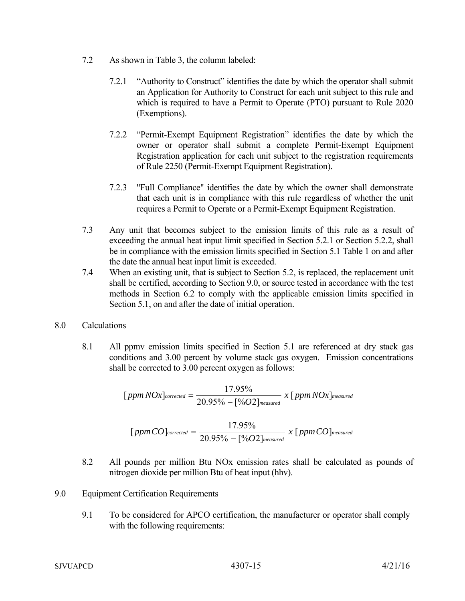- 7.2 As shown in Table 3, the column labeled:
	- 7.2.1 "Authority to Construct" identifies the date by which the operator shall submit an Application for Authority to Construct for each unit subject to this rule and which is required to have a Permit to Operate (PTO) pursuant to Rule 2020 (Exemptions).
	- 7.2.2 "Permit-Exempt Equipment Registration" identifies the date by which the owner or operator shall submit a complete Permit-Exempt Equipment Registration application for each unit subject to the registration requirements of Rule 2250 (Permit-Exempt Equipment Registration).
	- 7.2.3 "Full Compliance" identifies the date by which the owner shall demonstrate that each unit is in compliance with this rule regardless of whether the unit requires a Permit to Operate or a Permit-Exempt Equipment Registration.
- 7.3 Any unit that becomes subject to the emission limits of this rule as a result of exceeding the annual heat input limit specified in Section 5.2.1 or Section 5.2.2, shall be in compliance with the emission limits specified in Section 5.1 Table 1 on and after the date the annual heat input limit is exceeded.
- 7.4 When an existing unit, that is subject to Section 5.2, is replaced, the replacement unit shall be certified, according to Section 9.0, or source tested in accordance with the test methods in Section 6.2 to comply with the applicable emission limits specified in Section 5.1, on and after the date of initial operation.
- 8.0 Calculations
	- 8.1 All ppmv emission limits specified in Section 5.1 are referenced at dry stack gas conditions and 3.00 percent by volume stack gas oxygen. Emission concentrations shall be corrected to 3.00 percent oxygen as follows:

$$
[ppmNOx]_{corrected} = \frac{17.95\%}{20.95\% - [%O2]_{measured}} x [ppmNOx]_{measured}
$$
  
17.95%

- *measured*  $[ppmCO]_{corrected} = \frac{17.95\%}{20.95\% - [\%O2]_{measured}} \; x \; [ppmCO]$
- 8.2 All pounds per million Btu NOx emission rates shall be calculated as pounds of nitrogen dioxide per million Btu of heat input (hhv).
- 9.0 Equipment Certification Requirements
	- 9.1 To be considered for APCO certification, the manufacturer or operator shall comply with the following requirements:

*measured*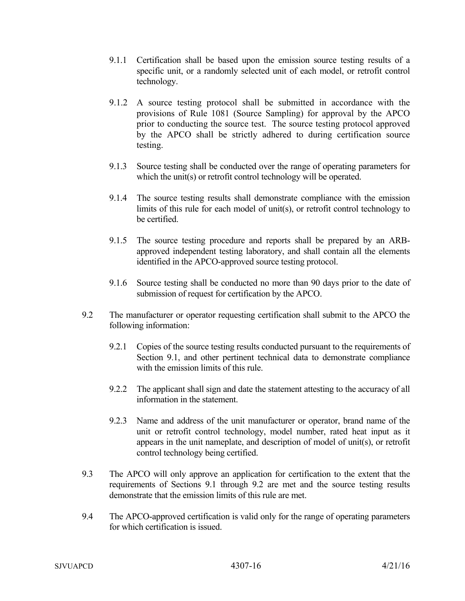- 9.1.1 Certification shall be based upon the emission source testing results of a specific unit, or a randomly selected unit of each model, or retrofit control technology.
- 9.1.2 A source testing protocol shall be submitted in accordance with the provisions of Rule 1081 (Source Sampling) for approval by the APCO prior to conducting the source test. The source testing protocol approved by the APCO shall be strictly adhered to during certification source testing.
- 9.1.3 Source testing shall be conducted over the range of operating parameters for which the unit(s) or retrofit control technology will be operated.
- 9.1.4 The source testing results shall demonstrate compliance with the emission limits of this rule for each model of unit(s), or retrofit control technology to be certified.
- 9.1.5 The source testing procedure and reports shall be prepared by an ARBapproved independent testing laboratory, and shall contain all the elements identified in the APCO-approved source testing protocol.
- 9.1.6 Source testing shall be conducted no more than 90 days prior to the date of submission of request for certification by the APCO.
- 9.2 The manufacturer or operator requesting certification shall submit to the APCO the following information:
	- 9.2.1 Copies of the source testing results conducted pursuant to the requirements of Section 9.1, and other pertinent technical data to demonstrate compliance with the emission limits of this rule.
	- 9.2.2 The applicant shall sign and date the statement attesting to the accuracy of all information in the statement.
	- 9.2.3 Name and address of the unit manufacturer or operator, brand name of the unit or retrofit control technology, model number, rated heat input as it appears in the unit nameplate, and description of model of unit(s), or retrofit control technology being certified.
- 9.3 The APCO will only approve an application for certification to the extent that the requirements of Sections 9.1 through 9.2 are met and the source testing results demonstrate that the emission limits of this rule are met.
- 9.4 The APCO-approved certification is valid only for the range of operating parameters for which certification is issued.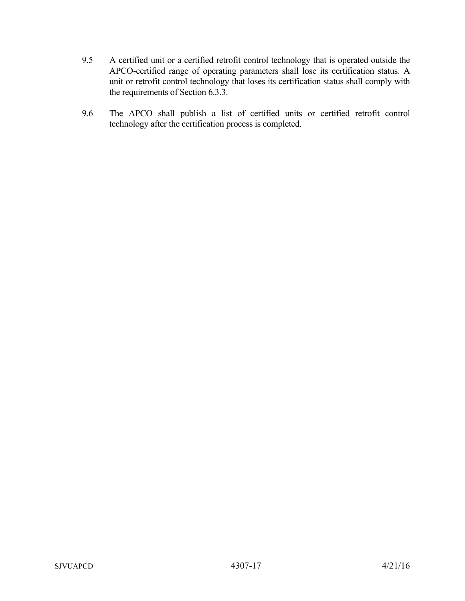- 9.5 A certified unit or a certified retrofit control technology that is operated outside the APCO-certified range of operating parameters shall lose its certification status. A unit or retrofit control technology that loses its certification status shall comply with the requirements of Section 6.3.3.
- 9.6 The APCO shall publish a list of certified units or certified retrofit control technology after the certification process is completed.